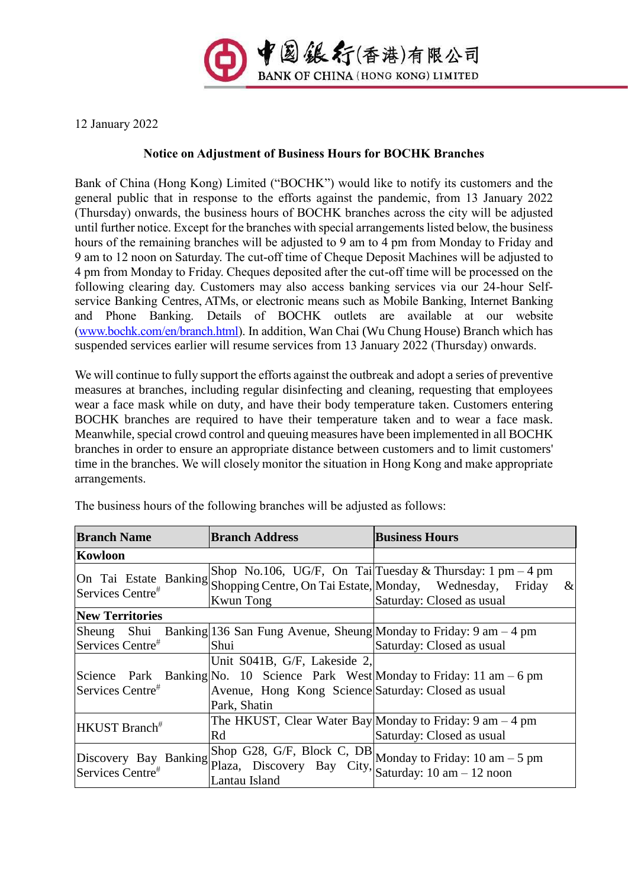

12 January 2022

## **Notice on Adjustment of Business Hours for BOCHK Branches**

Bank of China (Hong Kong) Limited ("BOCHK") would like to notify its customers and the general public that in response to the efforts against the pandemic, from 13 January 2022 (Thursday) onwards, the business hours of BOCHK branches across the city will be adjusted until further notice. Except for the branches with special arrangements listed below, the business hours of the remaining branches will be adjusted to 9 am to 4 pm from Monday to Friday and 9 am to 12 noon on Saturday. The cut-off time of Cheque Deposit Machines will be adjusted to 4 pm from Monday to Friday. Cheques deposited after the cut-off time will be processed on the following clearing day. Customers may also access banking services via our 24-hour Selfservice Banking Centres, ATMs, or electronic means such as Mobile Banking, Internet Banking and Phone Banking. Details of BOCHK outlets are available at our website [\(www.bochk.com/en/branch.html\)](http://www.bochk.com/en/branch.html). In addition, Wan Chai (Wu Chung House) Branch which has suspended services earlier will resume services from 13 January 2022 (Thursday) onwards.

We will continue to fully support the efforts against the outbreak and adopt a series of preventive measures at branches, including regular disinfecting and cleaning, requesting that employees wear a face mask while on duty, and have their body temperature taken. Customers entering BOCHK branches are required to have their temperature taken and to wear a face mask. Meanwhile, special crowd control and queuing measures have been implemented in all BOCHK branches in order to ensure an appropriate distance between customers and to limit customers' time in the branches. We will closely monitor the situation in Hong Kong and make appropriate arrangements.

| <b>Branch Name</b>                                    | <b>Branch Address</b>                                                                                       | <b>Business Hours</b>                                                                                                                                                                             |
|-------------------------------------------------------|-------------------------------------------------------------------------------------------------------------|---------------------------------------------------------------------------------------------------------------------------------------------------------------------------------------------------|
| Kowloon                                               |                                                                                                             |                                                                                                                                                                                                   |
| On Tai Estate Banking<br>Services Centre <sup>#</sup> | Shopping Centre, On Tai Estate, Monday, Wednesday,<br>Kwun Tong                                             | Shop No.106, UG/F, On Tai Tuesday & Thursday: 1 pm $-4$ pm<br>$\&$<br>Friday<br>Saturday: Closed as usual                                                                                         |
| <b>New Territories</b>                                |                                                                                                             |                                                                                                                                                                                                   |
| Sheung Shui<br>Services Centre#<br>Services Centre#   | Shui<br>Unit S041B, G/F, Lakeside 2,<br>Avenue, Hong Kong Science Saturday: Closed as usual<br>Park, Shatin | Banking 136 San Fung Avenue, Sheung Monday to Friday: $9 \text{ am} - 4 \text{ pm}$<br>Saturday: Closed as usual<br>Science Park Banking No. 10 Science Park West Monday to Friday: 11 am $-6$ pm |
| HKUST Branch#                                         | Rd                                                                                                          | The HKUST, Clear Water Bay Monday to Friday: $9 \text{ am} - 4 \text{ pm}$<br>Saturday: Closed as usual                                                                                           |
| Discovery Bay Banking<br>Services Centre <sup>#</sup> | Plaza, Discovery Bay City, $\begin{bmatrix} x_1 \dots x_n \\ 1 \end{bmatrix}$ am - 12 noon<br>Lantau Island | Shop G28, G/F, Block C, DB Monday to Friday: 10 am $-5$ pm                                                                                                                                        |

The business hours of the following branches will be adjusted as follows: